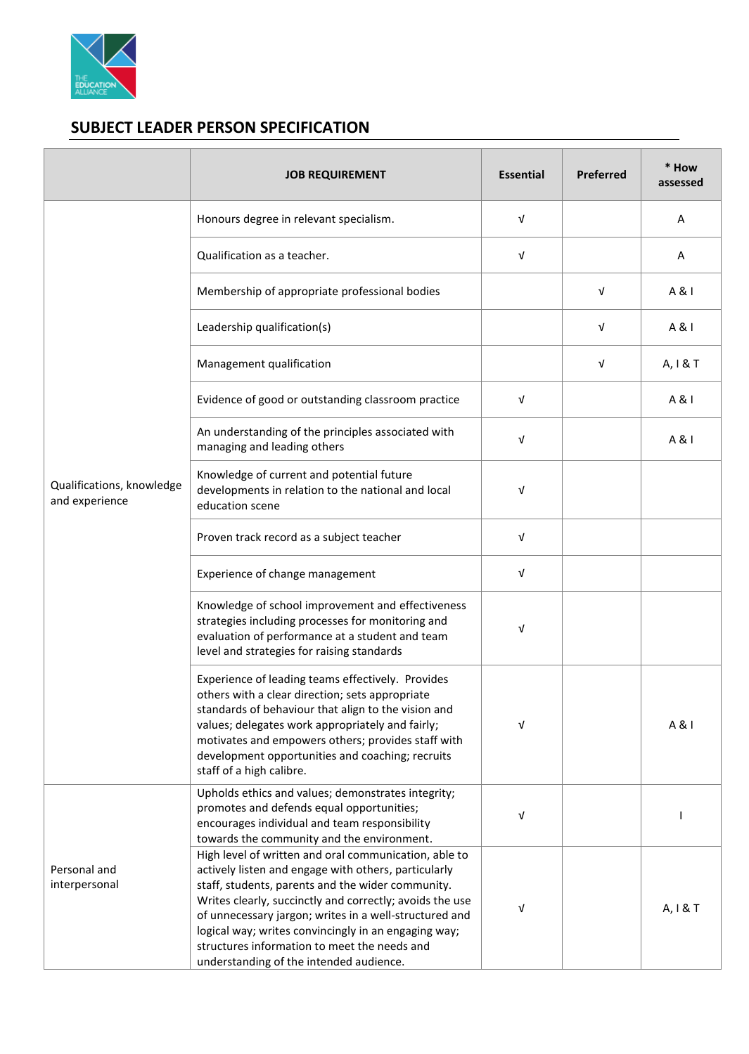

## **SUBJECT LEADER PERSON SPECIFICATION**

|                                             | <b>JOB REQUIREMENT</b>                                                                                                                                                                                                                                                                                                                                                                                                                      | <b>Essential</b> | Preferred | * How<br>assessed |
|---------------------------------------------|---------------------------------------------------------------------------------------------------------------------------------------------------------------------------------------------------------------------------------------------------------------------------------------------------------------------------------------------------------------------------------------------------------------------------------------------|------------------|-----------|-------------------|
| Qualifications, knowledge<br>and experience | Honours degree in relevant specialism.                                                                                                                                                                                                                                                                                                                                                                                                      | $\sqrt{ }$       |           | Α                 |
|                                             | Qualification as a teacher.                                                                                                                                                                                                                                                                                                                                                                                                                 | $\sqrt{ }$       |           | Α                 |
|                                             | Membership of appropriate professional bodies                                                                                                                                                                                                                                                                                                                                                                                               |                  | V         | A & I             |
|                                             | Leadership qualification(s)                                                                                                                                                                                                                                                                                                                                                                                                                 |                  | v         | A & I             |
|                                             | Management qualification                                                                                                                                                                                                                                                                                                                                                                                                                    |                  | V         | A, I & T          |
|                                             | Evidence of good or outstanding classroom practice                                                                                                                                                                                                                                                                                                                                                                                          | $\sqrt{ }$       |           | A & I             |
|                                             | An understanding of the principles associated with<br>managing and leading others                                                                                                                                                                                                                                                                                                                                                           | $\sqrt{ }$       |           | A & I             |
|                                             | Knowledge of current and potential future<br>developments in relation to the national and local<br>education scene                                                                                                                                                                                                                                                                                                                          | V                |           |                   |
|                                             | Proven track record as a subject teacher                                                                                                                                                                                                                                                                                                                                                                                                    | $\sqrt{ }$       |           |                   |
|                                             | Experience of change management                                                                                                                                                                                                                                                                                                                                                                                                             | $\sqrt{ }$       |           |                   |
|                                             | Knowledge of school improvement and effectiveness<br>strategies including processes for monitoring and<br>evaluation of performance at a student and team<br>level and strategies for raising standards                                                                                                                                                                                                                                     | V                |           |                   |
|                                             | Experience of leading teams effectively. Provides<br>others with a clear direction; sets appropriate<br>standards of behaviour that align to the vision and<br>values; delegates work appropriately and fairly;<br>motivates and empowers others; provides staff with<br>development opportunities and coaching; recruits<br>staff of a high calibre.                                                                                       | V                |           | A & I             |
| Personal and<br>interpersonal               | Upholds ethics and values; demonstrates integrity;<br>promotes and defends equal opportunities;<br>encourages individual and team responsibility<br>towards the community and the environment.                                                                                                                                                                                                                                              | $\sqrt{ }$       |           |                   |
|                                             | High level of written and oral communication, able to<br>actively listen and engage with others, particularly<br>staff, students, parents and the wider community.<br>Writes clearly, succinctly and correctly; avoids the use<br>of unnecessary jargon; writes in a well-structured and<br>logical way; writes convincingly in an engaging way;<br>structures information to meet the needs and<br>understanding of the intended audience. | V                |           | A, I & T          |